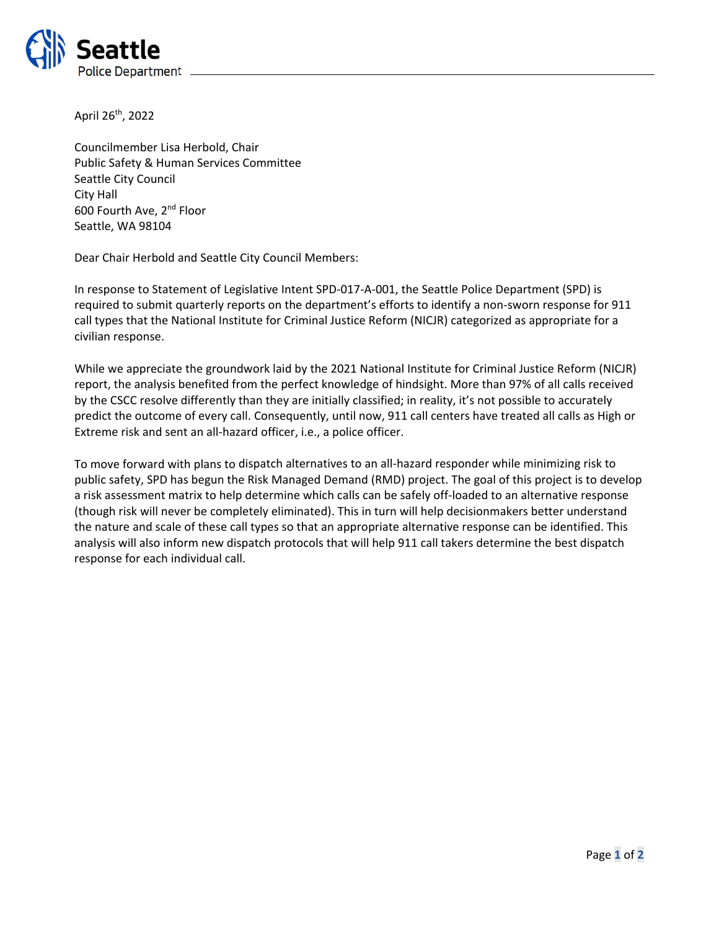

April 26th, 2022

Councilmember Lisa Herbold, Chair Public Safety & Human Services Committee Seattle City Council City Hall 600 Fourth Ave, 2<sup>nd</sup> Floor Seattle, WA 98104

Dear Chair Herbold and Seattle City Council Members:

In response to Statement of Legislative Intent SPD-017-A-001, the Seattle Police Department (SPD) is required to submit quarterly reports on the department's efforts to identify a non‐sworn response for 911 call types that the National Institute for Criminal Justice Reform (NICJR) categorized as appropriate for a civilian response.

While we appreciate the groundwork laid by the 2021 National Institute for Criminal Justice Reform (NICJR) report, the analysis benefited from the perfect knowledge of hindsight. More than 97% of all calls received by the CSCC resolve differently than they are initially classified; in reality, it's not possible to accurately predict the outcome of every call. Consequently, until now, 911 call centers have treated all calls as High or Extreme risk and sent an all‐hazard officer, i.e., a police officer.

To move forward with plans to dispatch alternatives to an all‐hazard responder while minimizing risk to public safety, SPD has begun the Risk Managed Demand (RMD) project. The goal of this project is to develop a risk assessment matrix to help determine which calls can be safely off‐loaded to an alternative response (though risk will never be completely eliminated). This in turn will help decisionmakers better understand the nature and scale of these call types so that an appropriate alternative response can be identified. This analysis will also inform new dispatch protocols that will help 911 call takers determine the best dispatch response for each individual call.